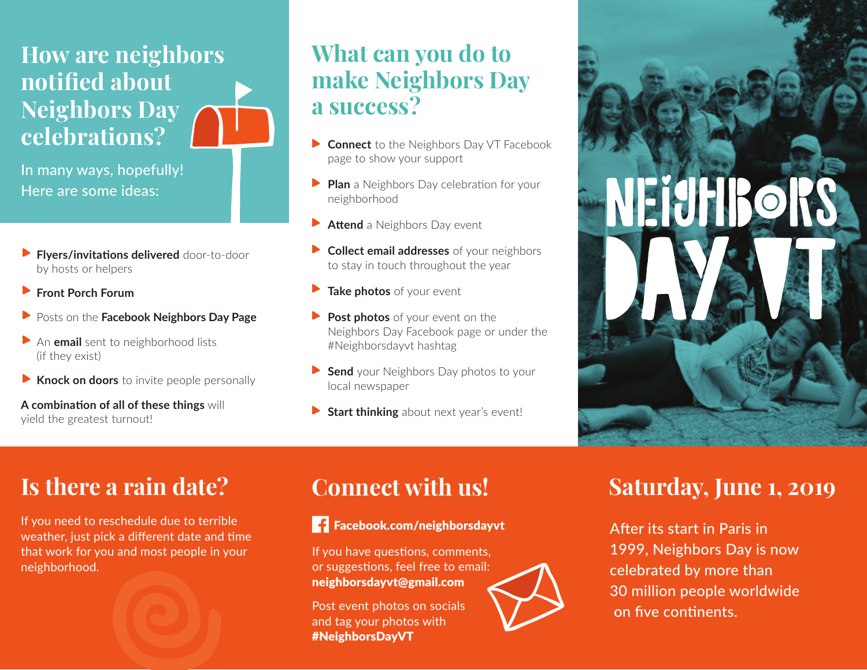### **How are neighbors notified about Neighbors Day celebrations?**

In many ways, hopefully! Here are some ideas:

- **Flyers/invitations delivered** door-to-door by hosts or helpers
- **Front Porch Forum**  $\blacktriangleright$
- **Posts on the Facebook Neighbors Day Page**
- An **email** sent to neighborhood lists (if they exist)
- **Knock on doors** to invite people personally  $\blacktriangleright$

**A combination of all of these things will** yield the greatest turnout!

### **What can you do to make Neighbors Day a success?**

- **Connect** to the Neighbors Day VT Facebook page to show your support
- **Plan** a Neighbors Day celebration for your neighborhood
- **Attend** a Neighbors Day event
- **Collect email addresses** of your neighbors to stay in touch throughout the year
- **Take photos** of your event  $\blacktriangleright$
- **Post photos** of your event on the Neighbors Day Facebook page or under the #Neighborsdayvt hashtag
- **Send** your Neighbors Day photos to your local newspaper
- **Start thinking** about next year's event!

### **Is there a rain date?**

If you need to reschedule due to terrible weather, just pick a different date and time that work for you and most people in your neighborhood. International Contract Contract<br>Sick a different date and ti<br>ou and most people in you



### Facebook.com/neighborsdayvt

If you have questions, comments, or suggestions, feel free to email: neighborsdayvt@gmail.com

Post event photos on socials and tag your photos with #NeighborsDayVT

### **Saturday, June 1, 2019**

After its start in Paris in 1999, Neighbors Day is now celebrated by more than 30 million people worldwide on five continents.